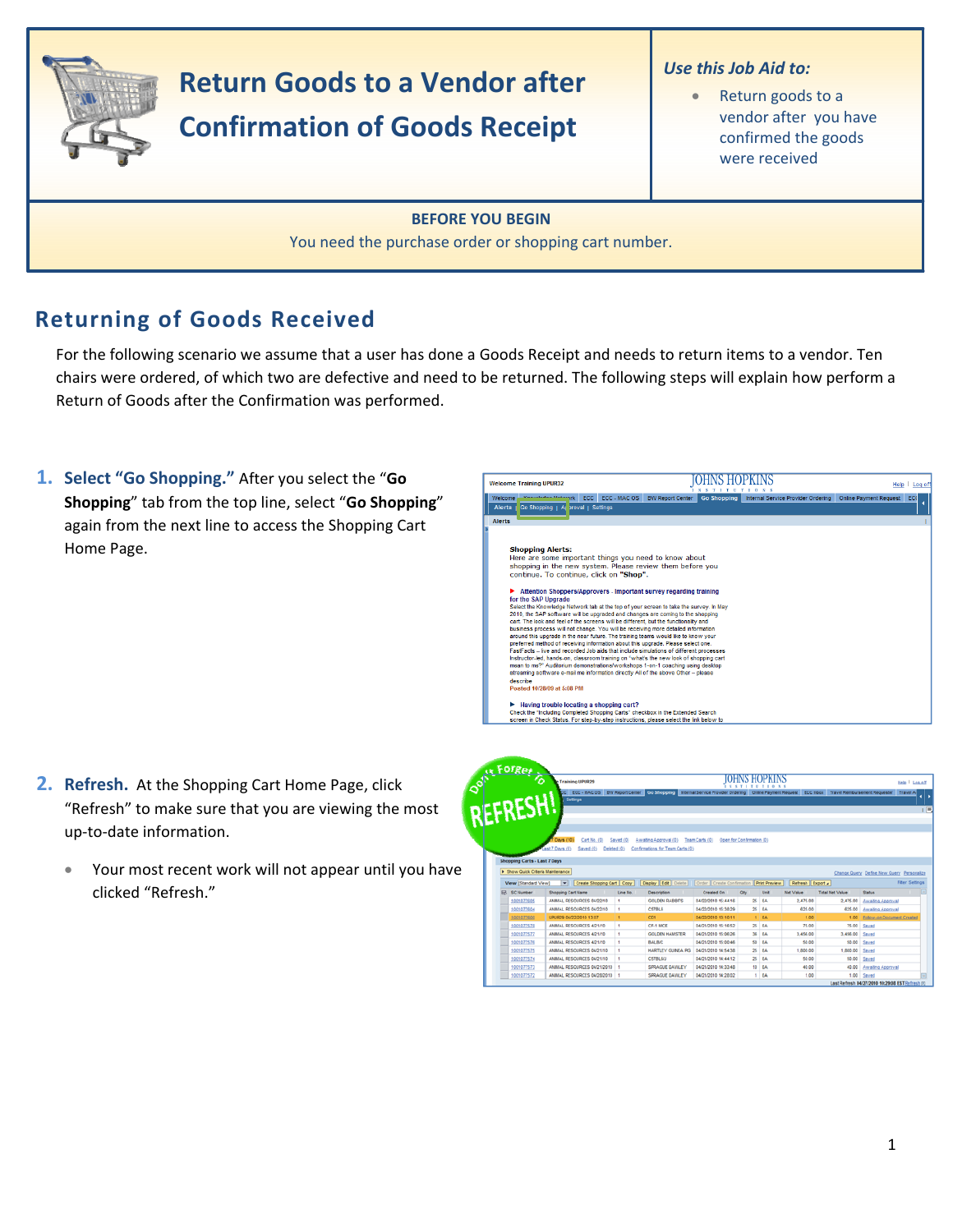

# **Return Goods to a Vendor after Confirmation of Goods Receipt**

#### *Use this Job Aid to:*

• Return goods to a vendor after you have confirmed the goods were received

### **BEFORE YOU BEGIN**

You need the purchase order or shopping cart number.

## **Returning of Goods Received**

For the following scenario we assume that a user has done a Goods Receipt and needs to return items to a vendor. Ten chairs were ordered, of which two are defective and need to be returned. The following steps will explain how perform a Return of Goods after the Confirmation was performed.

**1. Select "Go Shopping."** After you select the "**Go Shopping**" tab from the top line, select "**Go Shopping**" again from the next line to access the Shopping Cart Home Page.



- **2. Refresh.** At the Shopping Cart Home Page, click "Refresh" to make sure that you are viewing the most up‐to‐date information.
	- Your most recent work will not appear until you have clicked "Refresh."

| o <sup>ft</sup> aufgeb            | <b>C</b> Training UPUR29                                                                                                                                             |           |                                  |                           | OHNS HOPKINS<br><b>XX 7 1 T</b> |                      |                  |                        |                                           | Help   Log off        |
|-----------------------------------|----------------------------------------------------------------------------------------------------------------------------------------------------------------------|-----------|----------------------------------|---------------------------|---------------------------------|----------------------|------------------|------------------------|-------------------------------------------|-----------------------|
|                                   | CC ECC - MAC OS BW Report Center Co Shopping Internal Service Provider Ordering Online Payment Request ECC Inbox Travel Reinbursement Requester Travel A<br>Settings |           |                                  |                           |                                 |                      |                  |                        |                                           |                       |
|                                   |                                                                                                                                                                      |           |                                  |                           |                                 |                      |                  |                        |                                           |                       |
|                                   |                                                                                                                                                                      |           |                                  |                           |                                 |                      |                  |                        |                                           |                       |
|                                   |                                                                                                                                                                      |           |                                  |                           |                                 |                      |                  |                        |                                           |                       |
|                                   | Cart No. (0)<br>Davs (10)                                                                                                                                            | Saved (0) | Awaiting Approval (0)            | Team Carts (0)            | Open for Confirmation (0)       |                      |                  |                        |                                           |                       |
|                                   | ast 7 Days (0)<br>Saved (0)<br>Deleted (0)                                                                                                                           |           | Confirmations for Team Carts (0) |                           |                                 |                      |                  |                        |                                           |                       |
|                                   |                                                                                                                                                                      |           |                                  |                           |                                 |                      |                  |                        |                                           |                       |
|                                   |                                                                                                                                                                      |           |                                  |                           |                                 |                      |                  |                        |                                           |                       |
| Shopping Carts - Last 7 Days      |                                                                                                                                                                      |           |                                  |                           |                                 |                      |                  |                        |                                           |                       |
|                                   |                                                                                                                                                                      |           |                                  |                           |                                 |                      |                  |                        |                                           |                       |
| F Show Quick Criteria Maintenance |                                                                                                                                                                      |           |                                  |                           |                                 |                      |                  |                        | Change Query Define New Query Personalize |                       |
| View [Standard View]              | Create Shopping Cart Copy<br>$\vert \mathbf{v} \vert$                                                                                                                |           | <b>Display Edit   Delete  </b>   | Crder Create Confirmation |                                 | <b>Print Preview</b> | Refresh Diport . |                        |                                           |                       |
| ER. SC Number                     | <b>Shopping Cart Name</b>                                                                                                                                            | Line No.  | Description                      | Created On                | Oty                             | Unit                 | <b>Net Value</b> | <b>Total Net Value</b> | Status                                    |                       |
| 1001077605                        | ANIMAL RESOURCES 64/22/10                                                                                                                                            | ٠         | <b>GOLDEN RABBITS</b>            | 04/22/2010 15:44:16       |                                 | $25$ EA              | 2.475.00         | 2.475.00               | Awaling Approval                          |                       |
| 1001077604                        | ANNAL RESOURCES 64/22/15                                                                                                                                             | ٠         | CETBLE                           | 04/22/2010 15:38:29       |                                 | $25$ $E_A$           | 825.00           |                        | 625.00 Awalting Approval                  |                       |
| 1001077600                        | UPUR29 84/22/2010 13:07                                                                                                                                              |           | CD1                              | 04/22/2010 13:10:11       |                                 | 1 EA                 | 1.00             |                        | 1.00 Eplow-on Document Created            |                       |
| 1001077578                        | ANMAL RESOURCES 4/21/10                                                                                                                                              | ٠         | CF-1 MICE                        | 04/21/2010 15:16:52       |                                 | $25$ EA              | 75.00            | 75.00                  | Sayed                                     |                       |
| 1001077577                        | ANMAL RESOURCES 4/21/10                                                                                                                                              | ٠         | <b>GOLDEN HAMSTER</b>            | 04/21/2010 15:06:26       |                                 | 36 EA                | 3.456.00         | 3.456.00               | Saved                                     |                       |
| 1001077576                        | ANMAL RESOURCES 4/21/10                                                                                                                                              | ٠         | BALBIC                           | 04/21/2010 15:00:46       |                                 | SO EA                | 50.00            |                        | 50.00 Saved                               |                       |
| 1001077575                        | ANMAL RESOURCES 04/21/10                                                                                                                                             | ٠         | <b>HARTLEY GUNEA PIG</b>         | 04/21/2010 14:54:38       |                                 | $25$ EA              | 1,000.00         | 1,000.00               | Saved                                     |                       |
| 1001077574                        | ANMAL RESOURCES 04/21/10                                                                                                                                             | ٠         | <b>CS7BL6U</b>                   | 04/21/2010 14:44:12       |                                 | $25$ EA              | 50.00            |                        | 50.00 Saved                               |                       |
| 1001077573                        | ANMAL RESOURCES 04/21/2010                                                                                                                                           |           | SPRAGUE DAWLEY                   | 04/21/2010 14:33:48       |                                 | 10 EA                | 40.00            | 40.00                  | Awating Approval                          | <b>Fiter Settings</b> |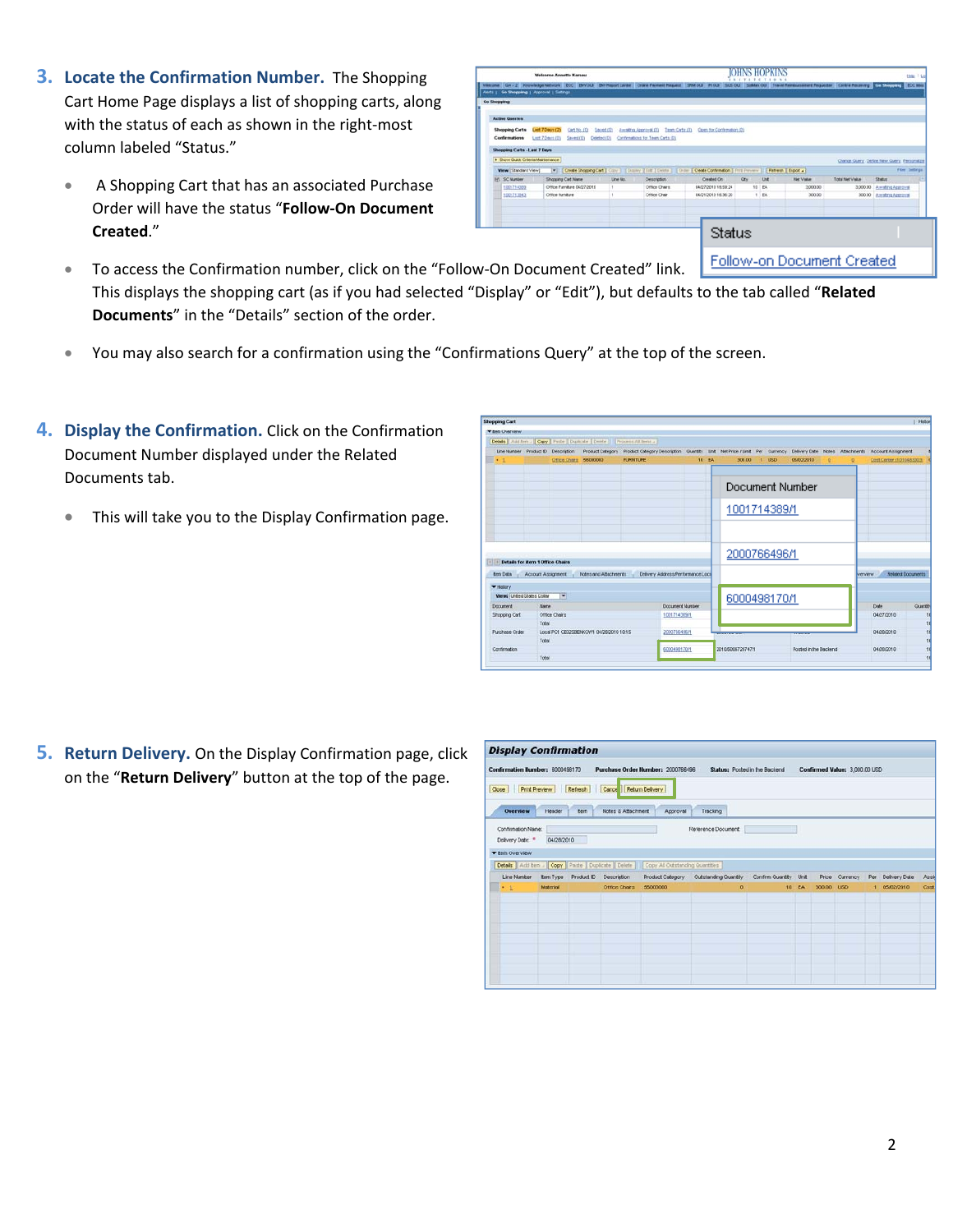- **3. Locate the Confirmation Number.** The Shopping Cart Home Page displays a list of shopping carts, along with the status of each as shown in the right-most column labeled "Status."
	- A Shopping Cart that has an associated Purchase Order will have the status "**Follow‐On Document Created**."

|                       |                                          |                          | <b>Welcome Annette Kamau</b> |             |                                     | <b>OHNS HOPKINS</b><br>$N \leq 0$<br><b>VIII</b><br><b>T.I.W.</b>                                          |       |                                                                                                                                                                    |                                     |                                             |                           |                |  |  |  |
|-----------------------|------------------------------------------|--------------------------|------------------------------|-------------|-------------------------------------|------------------------------------------------------------------------------------------------------------|-------|--------------------------------------------------------------------------------------------------------------------------------------------------------------------|-------------------------------------|---------------------------------------------|---------------------------|----------------|--|--|--|
| <b>El Vielcone</b>    | AMAI : Go Shopping   Approval   Sattings |                          |                              |             |                                     |                                                                                                            |       | Knowledge failurest ECC ENVOLE ENVReport Center Crane Faynest Resurct SEMAGUI ROLD SUSSOL Subtan OLE Travel Resurses Requester Central Resurcts Contra Rold States |                                     |                                             |                           |                |  |  |  |
| Go Shopping           |                                          |                          |                              |             |                                     |                                                                                                            |       |                                                                                                                                                                    |                                     |                                             |                           |                |  |  |  |
|                       |                                          |                          |                              |             |                                     |                                                                                                            |       |                                                                                                                                                                    |                                     |                                             |                           |                |  |  |  |
| <b>Active Quertex</b> |                                          |                          |                              |             |                                     |                                                                                                            |       |                                                                                                                                                                    |                                     |                                             |                           |                |  |  |  |
|                       | Shopping Carts                           | Last 7 Days (25)         | Carl No. (0)                 | Saved (0)   | Amatrix Approval (0) Team Carty (0) | Comh for Conferration (0)                                                                                  |       |                                                                                                                                                                    |                                     |                                             |                           |                |  |  |  |
|                       | Confirmations                            | Last 7 Davis (D)         | $5 + + 100$                  | Celeted (D) | Contrevenions for Team Carts (D)    |                                                                                                            |       |                                                                                                                                                                    |                                     |                                             |                           |                |  |  |  |
|                       | Shepping Carts - Last 7 Days             |                          |                              |             |                                     |                                                                                                            |       |                                                                                                                                                                    |                                     |                                             |                           |                |  |  |  |
|                       | > Show Outs Orberts Mantenance           |                          |                              |             |                                     |                                                                                                            |       |                                                                                                                                                                    |                                     | Change Guery, Detine New Guery, Paragraitza |                           |                |  |  |  |
|                       | Wew [Standard View]                      | $\vert \mathbf{v} \vert$ |                              |             |                                     | Create Shopping Cart   Clay       Classey   Edit   Celeta     Create   Create Conferration   First Ferness |       |                                                                                                                                                                    | Retresh   Esport 4                  |                                             |                           | Fiber Settings |  |  |  |
|                       | FR SC Number                             |                          | Shopping Cart Name           | Line No.    | Description                         | Created On                                                                                                 | Oty.  | Und                                                                                                                                                                | <b>Rief Visture</b>                 | Total Net Value                             | Shelter                   |                |  |  |  |
|                       | 1001714303                               |                          | Office Furniture 04/27/2010  |             | Office Charg                        | 04/27/2010 18:59:24                                                                                        | 10 EA |                                                                                                                                                                    | 3,000.00                            |                                             | 3,000.00 Amaling Approval |                |  |  |  |
|                       | 1001713043                               | Office furniture         |                              | л           | Office Chair                        | 04/21/2010 16:36:20                                                                                        | 1 EA  |                                                                                                                                                                    | 300.00                              | 300.00                                      | Awalno Approval           |                |  |  |  |
|                       |                                          |                          |                              |             |                                     |                                                                                                            |       |                                                                                                                                                                    |                                     |                                             |                           |                |  |  |  |
|                       |                                          |                          |                              |             |                                     |                                                                                                            |       |                                                                                                                                                                    |                                     |                                             |                           |                |  |  |  |
|                       |                                          |                          |                              |             |                                     |                                                                                                            |       |                                                                                                                                                                    |                                     |                                             |                           |                |  |  |  |
|                       |                                          |                          |                              |             |                                     | Status                                                                                                     |       |                                                                                                                                                                    |                                     |                                             |                           |                |  |  |  |
|                       |                                          |                          |                              |             |                                     |                                                                                                            |       |                                                                                                                                                                    |                                     |                                             |                           |                |  |  |  |
|                       |                                          |                          |                              |             |                                     |                                                                                                            |       |                                                                                                                                                                    |                                     |                                             |                           |                |  |  |  |
|                       |                                          |                          |                              |             |                                     |                                                                                                            |       |                                                                                                                                                                    | External and Express and Considered |                                             |                           |                |  |  |  |

- To access the Confirmation number, click on the "Follow-On Document Created" link. Follow-on Document Created This displays the shopping cart (as if you had selected "Display" or "Edit"), but defaults to the tab called "**Related Documents**" in the "Details" section of the order.
- You may also search for a confirmation using the "Confirmations Query" at the top of the screen.
- **4. Display the Confirmation.** Click on the Confirmation Document Number displayed under the Related Documents tab.
	- This will take you to the Display Confirmation page.

| <b>Shopping Cart</b>              |                                                                      |                          |                                                                          |                                                                          |       |                   |         |                       |   |                   |                           | Histori                    |
|-----------------------------------|----------------------------------------------------------------------|--------------------------|--------------------------------------------------------------------------|--------------------------------------------------------------------------|-------|-------------------|---------|-----------------------|---|-------------------|---------------------------|----------------------------|
| <b>T Belli Uververw</b>           |                                                                      |                          |                                                                          |                                                                          |       |                   |         |                       |   |                   |                           |                            |
|                                   |                                                                      |                          | Details Autoten .   Copy   Paste   Duplinde   Deter     Process All tens |                                                                          |       |                   |         |                       |   |                   |                           |                            |
| Line Number                       |                                                                      | Product D Description    | <b>Product Category</b>                                                  | Product Category Description Culently Link Net Price / Link Per Currency |       |                   |         | Delivery Date         |   | Notes Attachments | <b>Account Ansignment</b> |                            |
| $\rightarrow$ 1                   |                                                                      | Office Charge 56000000   |                                                                          | <b>FURNITURE</b>                                                         | 10 FA | 300.00            | $1$ USD | 05/02/2010            | o |                   | Cost Center (1010483003)  |                            |
|                                   |                                                                      |                          |                                                                          |                                                                          |       |                   |         |                       |   |                   |                           |                            |
|                                   |                                                                      |                          |                                                                          |                                                                          |       |                   |         | Document Number       |   |                   |                           |                            |
|                                   |                                                                      |                          |                                                                          |                                                                          |       | 1001714389/1      |         |                       |   |                   |                           |                            |
|                                   |                                                                      |                          |                                                                          |                                                                          |       |                   |         |                       |   |                   |                           |                            |
|                                   |                                                                      |                          |                                                                          |                                                                          |       |                   |         |                       |   |                   |                           |                            |
|                                   |                                                                      |                          |                                                                          |                                                                          |       | 2000766496/1      |         |                       |   |                   |                           |                            |
| $\sim$<br>ten Data                | <b>Details for item 1 Office Chairs</b><br><b>Account Assignment</b> |                          | Notes and Atlachments                                                    | Delvery Astress/Performance Local                                        |       |                   |         |                       |   |                   | <b>VOTABITAY</b>          | <b>Finletind Documents</b> |
| * History                         |                                                                      |                          |                                                                          |                                                                          |       |                   |         |                       |   |                   |                           |                            |
| <b>Views</b> United States Dollar |                                                                      | $\overline{\phantom{a}}$ |                                                                          |                                                                          |       | 6000498170/1      |         |                       |   |                   |                           |                            |
| Document                          | Marys                                                                |                          |                                                                          | Document Number                                                          |       |                   |         |                       |   |                   | Date                      | <b>Cuantity</b>            |
| Shopping Cart                     |                                                                      | Office Chairs            |                                                                          | 1001714369/1                                                             |       |                   |         |                       |   |                   | 04/27/2010                | 10                         |
|                                   | Total                                                                |                          |                                                                          |                                                                          |       |                   |         |                       |   |                   |                           |                            |
| <b>Purchase Order</b>             |                                                                      |                          | Local PO1 CE02SBENKOWN 04/28/2010 10:15                                  | 2000766496/1                                                             |       |                   |         |                       |   |                   | 04/20/2010                | 10 10 10 10                |
|                                   | Total                                                                |                          |                                                                          |                                                                          |       |                   |         |                       |   |                   |                           |                            |
| Contintration                     |                                                                      |                          |                                                                          | 6000498170/1                                                             |       | 2010/5006729747/1 |         | Posted in the Backend |   |                   | 04/20/2010                |                            |
|                                   | Total                                                                |                          |                                                                          |                                                                          |       |                   |         |                       |   |                   |                           | 10                         |

**5. Return Delivery.** On the Display Confirmation page, click on the "**Return Delivery**" button at the top of the page.

| Close                                                                             | Print Preview Refresh |             | Cance Return Delivery                            |                                 |                                                             | Status: Posted in the Backend |       |            | Confirmed Value: 3,000.00 USD |     |               |      |
|-----------------------------------------------------------------------------------|-----------------------|-------------|--------------------------------------------------|---------------------------------|-------------------------------------------------------------|-------------------------------|-------|------------|-------------------------------|-----|---------------|------|
| <b>Overview</b><br>Confirmation Name:<br>Delivery Date: *<br><b>Then Overview</b> | Header<br>04/28/2010  | <b>Bern</b> | Notes & Attachment                               | Approval                        | Tracking<br>Reference Document:                             |                               |       |            |                               |     |               |      |
|                                                                                   |                       |             | Details Add tem / Copy Parte   Duplcate   Delete | Copy All Outstanding Quantities |                                                             |                               |       |            |                               |     |               |      |
| Line Number                                                                       | tem Type              |             | Product ID Description                           |                                 | Product Category Outstanding Quantity Confirm Quantity Unit |                               |       |            | Price Currency                | Per | Delivery Date | Assi |
| $\cdot$ 1                                                                         | Material              |             | Office Chairs                                    | 56000000                        | $\Omega$                                                    |                               | 10 EA | 300.00 USD |                               |     | 1 05/02/2010  | Cost |
|                                                                                   |                       |             |                                                  |                                 |                                                             |                               |       |            |                               |     |               |      |
|                                                                                   |                       |             |                                                  |                                 |                                                             |                               |       |            |                               |     |               |      |
|                                                                                   |                       |             |                                                  |                                 |                                                             |                               |       |            |                               |     |               |      |